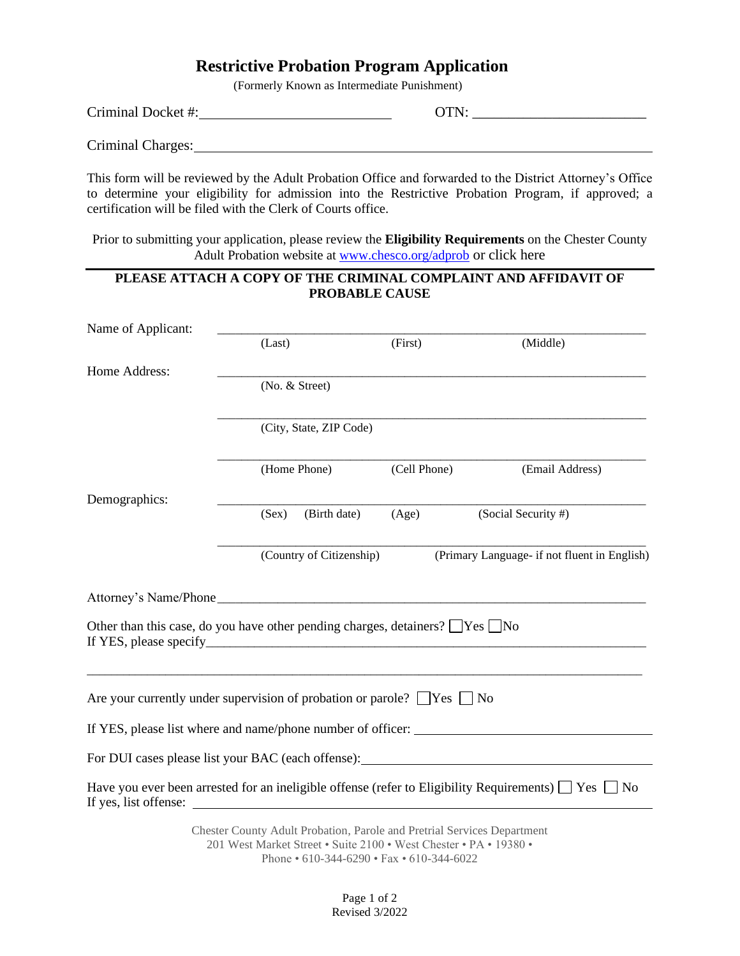# **Restrictive Probation Program Application**

(Formerly Known as Intermediate Punishment)

| $C_{\text{min}}$ in all $D$<br>mmai<br>. JC 36<br>، ۱۱ با ب<br>. | . . |  |
|------------------------------------------------------------------|-----|--|
|                                                                  |     |  |

Criminal Charges:

This form will be reviewed by the Adult Probation Office and forwarded to the District Attorney's Office to determine your eligibility for admission into the Restrictive Probation Program, if approved; a certification will be filed with the Clerk of Courts office.

Prior to submitting your application, please review the **Eligibility Requirements** on the Chester County Adult Probation website at [www.chesco.org/adprob](http://www.chesco.org/adprob) or click here

## **PLEASE ATTACH A COPY OF THE CRIMINAL COMPLAINT AND AFFIDAVIT OF PROBABLE CAUSE**

| Name of Applicant:                                                                       |                                                                                                                                              |              |                                                                                                                                                                                                                                      |  |
|------------------------------------------------------------------------------------------|----------------------------------------------------------------------------------------------------------------------------------------------|--------------|--------------------------------------------------------------------------------------------------------------------------------------------------------------------------------------------------------------------------------------|--|
|                                                                                          | (Last)                                                                                                                                       | (First)      | (Middle)                                                                                                                                                                                                                             |  |
| Home Address:                                                                            | (No. & Street)                                                                                                                               |              |                                                                                                                                                                                                                                      |  |
|                                                                                          | (City, State, ZIP Code)                                                                                                                      |              |                                                                                                                                                                                                                                      |  |
|                                                                                          | (Home Phone)                                                                                                                                 | (Cell Phone) | (Email Address)                                                                                                                                                                                                                      |  |
| Demographics:                                                                            | (Birth date)<br>(Sex)                                                                                                                        | (Age)        | (Social Security #)                                                                                                                                                                                                                  |  |
|                                                                                          | (Country of Citizenship)                                                                                                                     |              | (Primary Language- if not fluent in English)                                                                                                                                                                                         |  |
|                                                                                          |                                                                                                                                              |              |                                                                                                                                                                                                                                      |  |
| Other than this case, do you have other pending charges, detainers? $\Box$ Yes $\Box$ No |                                                                                                                                              |              |                                                                                                                                                                                                                                      |  |
| Are your currently under supervision of probation or parole? $\Box$ Yes $\Box$ No        |                                                                                                                                              |              |                                                                                                                                                                                                                                      |  |
| If YES, please list where and name/phone number of officer:                              |                                                                                                                                              |              |                                                                                                                                                                                                                                      |  |
|                                                                                          |                                                                                                                                              |              | For DUI cases please list your BAC (each offense): <u>the set of the set of the set of the set of the set of the set of the set of the set of the set of the set of the set of the set of the set of the set of the set of the s</u> |  |
| If yes, list offense:                                                                    |                                                                                                                                              |              | Have you ever been arrested for an ineligible offense (refer to Eligibility Requirements) $\Box$ Yes $\Box$ No                                                                                                                       |  |
|                                                                                          | Chester County Adult Probation, Parole and Pretrial Services Department<br>201 West Market Street . Suite 2100 . West Chester . PA . 19380 . |              |                                                                                                                                                                                                                                      |  |

201 West Market Street • Suite 2100 • West Chester • PA • 19380 • Phone • 610-344-6290 • Fax • 610-344-6022